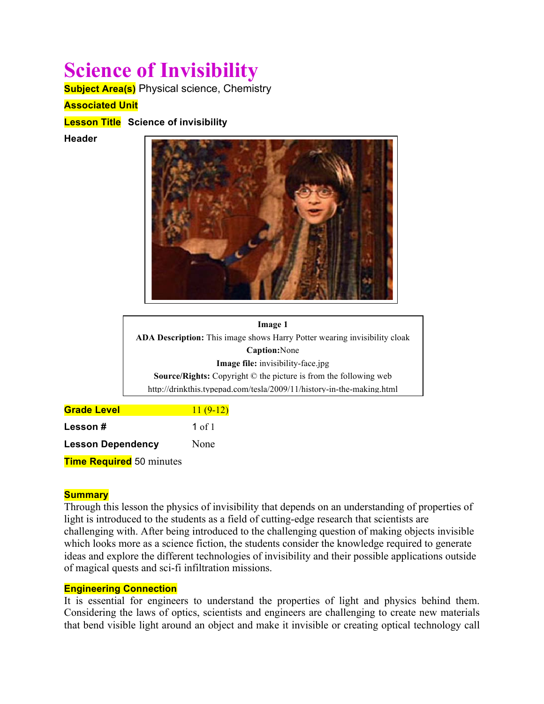# **Science of Invisibility**

**Subject Area(s)** Physical science, Chemistry

# **Associated Unit**

**Lesson Title Science of invisibility**

**Header**



**Image 1 Image 1** ADA Description: This image shows Harry Potter wearing invisibility cloak **Caption:** \_\_\_? **Caption:**None **Image file:** invisibility-face.jpg **Source/Rights:** Copyright © \_\_\_? **Source/Rights:** Copyright © the picture is from the following web http://drinkthis.typepad.com/tesla/2009/11/history-in-the-making.html

| <b>Grade Level</b>              | $11(9-12)$ |
|---------------------------------|------------|
| Lesson#                         | 1 of $1$   |
| <b>Lesson Dependency</b>        | None       |
| <b>Time Required</b> 50 minutes |            |

#### **Summary**

Through this lesson the physics of invisibility that depends on an understanding of properties of light is introduced to the students as a field of cutting-edge research that scientists are challenging with. After being introduced to the challenging question of making objects invisible which looks more as a science fiction, the students consider the knowledge required to generate ideas and explore the different technologies of invisibility and their possible applications outside of magical quests and sci-fi infiltration missions.

#### **Engineering Connection**

It is essential for engineers to understand the properties of light and physics behind them. Considering the laws of optics, scientists and engineers are challenging to create new materials that bend visible light around an object and make it invisible or creating optical technology call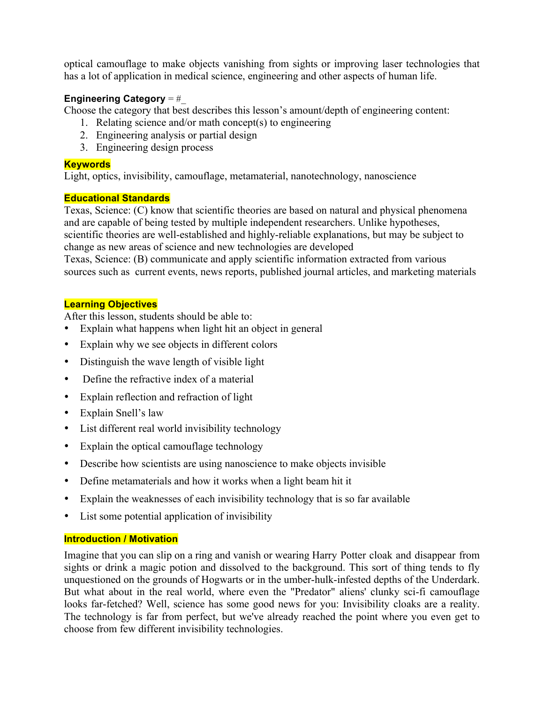optical camouflage to make objects vanishing from sights or improving laser technologies that has a lot of application in medical science, engineering and other aspects of human life.

# **Engineering Category** = #\_

Choose the category that best describes this lesson's amount/depth of engineering content:

- 1. Relating science and/or math concept(s) to engineering
- 2. Engineering analysis or partial design
- 3. Engineering design process

#### **Keywords**

Light, optics, invisibility, camouflage, metamaterial, nanotechnology, nanoscience

#### **Educational Standards**

Texas, Science: (C) know that scientific theories are based on natural and physical phenomena and are capable of being tested by multiple independent researchers. Unlike hypotheses, scientific theories are well-established and highly-reliable explanations, but may be subject to change as new areas of science and new technologies are developed

Texas, Science: (B) communicate and apply scientific information extracted from various sources such as current events, news reports, published journal articles, and marketing materials

# **Learning Objectives**

After this lesson, students should be able to:

- Explain what happens when light hit an object in general
- Explain why we see objects in different colors
- Distinguish the wave length of visible light
- Define the refractive index of a material
- Explain reflection and refraction of light
- Explain Snell's law
- List different real world invisibility technology
- Explain the optical camouflage technology
- Describe how scientists are using nanoscience to make objects invisible
- Define metamaterials and how it works when a light beam hit it
- Explain the weaknesses of each invisibility technology that is so far available
- List some potential application of invisibility

# **Introduction / Motivation**

Imagine that you can slip on a ring and vanish or wearing Harry Potter cloak and disappear from sights or drink a magic potion and dissolved to the background. This sort of thing tends to fly unquestioned on the grounds of Hogwarts or in the umber-hulk-infested depths of the Underdark. But what about in the real world, where even the "Predator" aliens' clunky sci-fi camouflage looks far-fetched? Well, science has some good news for you: Invisibility cloaks are a reality. The technology is far from perfect, but we've already reached the point where you even get to choose from few different invisibility technologies.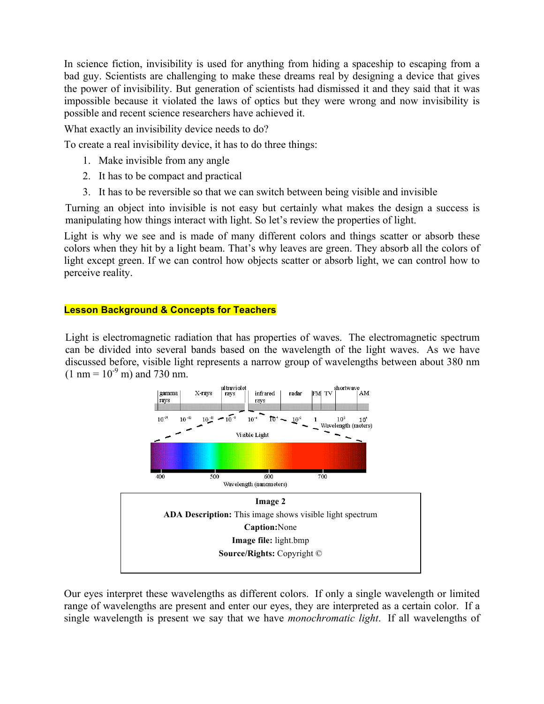In science fiction, invisibility is used for anything from hiding a spaceship to escaping from a bad guy. Scientists are challenging to make these dreams real by designing a device that gives the power of invisibility. But generation of scientists had dismissed it and they said that it was impossible because it violated the laws of optics but they were wrong and now invisibility is possible and recent science researchers have achieved it.

What exactly an invisibility device needs to do?

To create a real invisibility device, it has to do three things:

- 1. Make invisible from any angle
- 2. It has to be compact and practical
- 3. It has to be reversible so that we can switch between being visible and invisible

Turning an object into invisible is not easy but certainly what makes the design a success is manipulating how things interact with light. So let's review the properties of light.

Light is why we see and is made of many different colors and things scatter or absorb these colors when they hit by a light beam. That's why leaves are green. They absorb all the colors of light except green. If we can control how objects scatter or absorb light, we can control how to perceive reality.

#### **Lesson Background & Concepts for Teachers**

Light is electromagnetic radiation that has properties of waves. The electromagnetic spectrum can be divided into several bands based on the wavelength of the light waves. As we have discussed before, visible light represents a narrow group of wavelengths between about 380 nm  $(1 \text{ nm} = 10^{-9} \text{ m})$  and 730 nm.



Our eyes interpret these wavelengths as different colors. If only a single wavelength or limited range of wavelengths are present and enter our eyes, they are interpreted as a certain color. If a single wavelength is present we say that we have *monochromatic light*. If all wavelengths of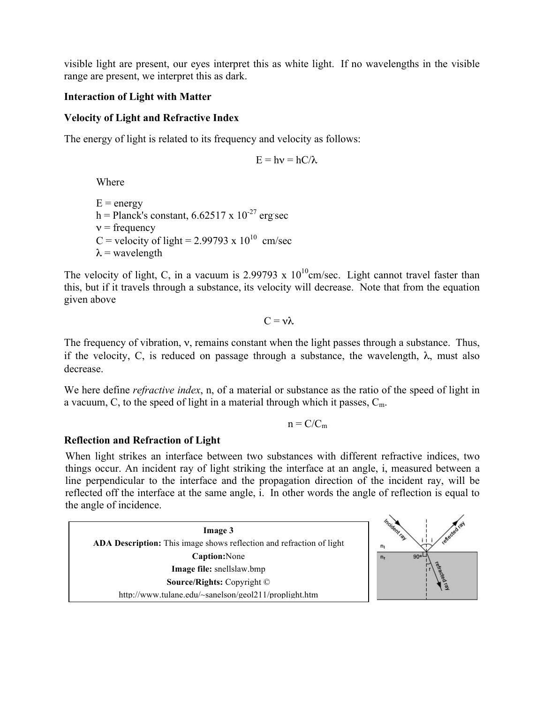visible light are present, our eyes interpret this as white light. If no wavelengths in the visible range are present, we interpret this as dark.

# **Interaction of Light with Matter**

#### **Velocity of Light and Refractive Index**

The energy of light is related to its frequency and velocity as follows:

$$
E=h\nu=hC/\lambda
$$

Where

 $E =$  energy h = Planck's constant,  $6.62517 \times 10^{-27}$  erg sec  $v = \text{frequency}$ C = velocity of light = 2.99793 x  $10^{10}$  cm/sec  $\lambda$  = wavelength

The velocity of light, C, in a vacuum is 2.99793 x  $10^{10}$ cm/sec. Light cannot travel faster than this, but if it travels through a substance, its velocity will decrease. Note that from the equation given above

 $C = v \lambda$ 

The frequency of vibration,  $v$ , remains constant when the light passes through a substance. Thus, if the velocity, C, is reduced on passage through a substance, the wavelength,  $\lambda$ , must also decrease.

We here define *refractive index*, n, of a material or substance as the ratio of the speed of light in a vacuum, C, to the speed of light in a material through which it passes,  $C_m$ .

 $n = C/C_m$ 

# **Reflection and Refraction of Light**

When light strikes an interface between two substances with different refractive indices, two things occur. An incident ray of light striking the interface at an angle, i, measured between a line perpendicular to the interface and the propagation direction of the incident ray, will be reflected off the interface at the same angle, i. In other words the angle of reflection is equal to the angle of incidence.

**Image 3 ADA Description:** This image shows reflection and refraction of light **Caption:**None **Image file:** snellslaw.bmp **Source/Rights:** Copyright © http://www.tulane.edu/~sanelson/geol211/proplight.htm

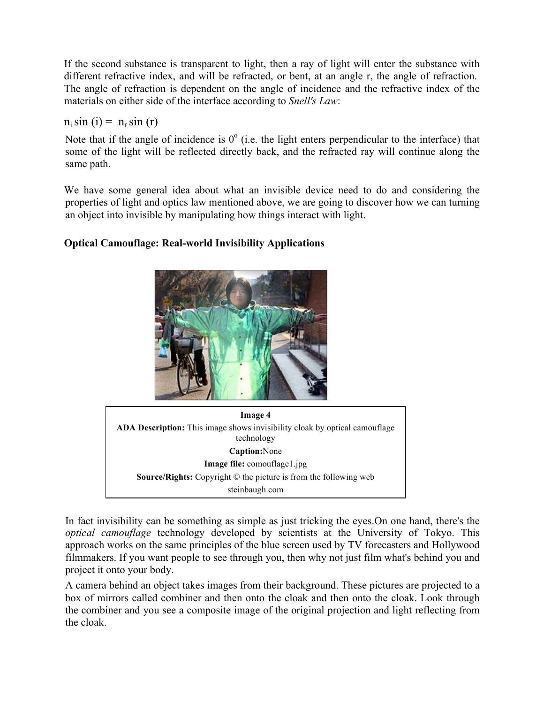If the second substance is transparent to light, then a ray of light will enter the substance with different refractive index, and will be refracted, or bent, at an angle r, the angle of refraction. The angle of refraction is dependent on the angle of incidence and the refractive index of the materials on either side of the interface according to *Snell's Law*:

#### $n_i \sin(i) = n_r \sin(r)$

Note that if the angle of incidence is  $0^{\circ}$  (i.e. the light enters perpendicular to the interface) that some of the light will be reflected directly back, and the refracted ray will continue along the same path.

We have some general idea about what an invisible device need to do and considering the properties of light and optics law mentioned above, we are going to discover how we can turning an object into invisible by manipulating how things interact with light.

# **Optical Camouflage: Real-world Invisibility Applications**





In fact invisibility can be something as simple as just tricking the eyes. On one hand, there's the *optical camouflage* technology developed by scientists at the University of Tokyo. This approach works on the same principles of the blue screen used by TV forecasters and Hollywood filmmakers. If you want people to see through you, then why not just film what's behind you and project it onto your body.

A camera behind an object takes images from their background. These pictures are projected to a box of mirrors called combiner and then onto the cloak and then onto the cloak. Look through the combiner and you see a composite image of the original projection and light reflecting from the cloak.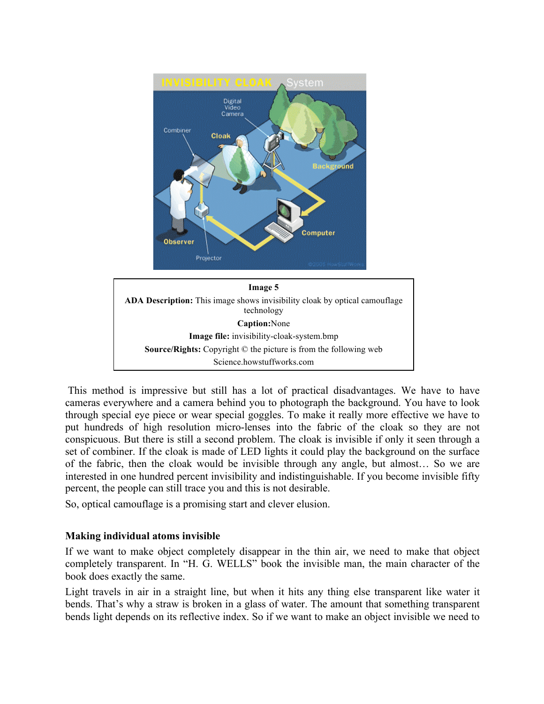

This method is impressive but still has a lot of practical disadvantages. We have to have cameras everywhere and a camera behind you to photograph the background. You have to look through special eye piece or wear special goggles. To make it really more effective we have to put hundreds of high resolution micro-lenses into the fabric of the cloak so they are not conspicuous. But there is still a second problem. The cloak is invisible if only it seen through a set of combiner. If the cloak is made of LED lights it could play the background on the surface of the fabric, then the cloak would be invisible through any angle, but almost… So we are interested in one hundred percent invisibility and indistinguishable. If you become invisible fifty percent, the people can still trace you and this is not desirable.

So, optical camouflage is a promising start and clever elusion.

# **Making individual atoms invisible**

If we want to make object completely disappear in the thin air, we need to make that object completely transparent. In "H. G. WELLS" book the invisible man, the main character of the book does exactly the same.

Light travels in air in a straight line, but when it hits any thing else transparent like water it bends. That's why a straw is broken in a glass of water. The amount that something transparent bends light depends on its reflective index. So if we want to make an object invisible we need to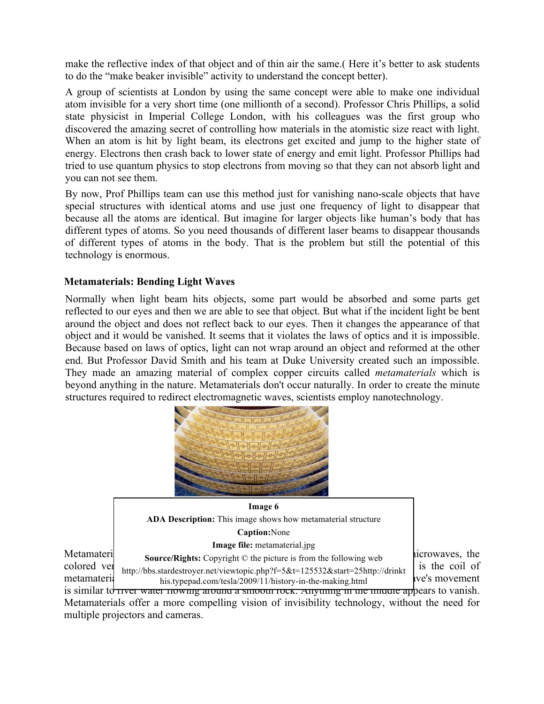make the reflective index of that object and of thin air the same.( Here it's better to ask students to do the "make beaker invisible" activity to understand the concept better).

A group of scientists at London by using the same concept were able to make one individual atom invisible for a very short time (one millionth of a second). Professor Chris Phillips, a solid state physicist in Imperial College London, with his colleagues was the first group who discovered the amazing secret of controlling how materials in the atomistic size react with light. When an atom is hit by light beam, its electrons get excited and jump to the higher state of energy. Electrons then crash back to lower state of energy and emit light. Professor Phillips had tried to use quantum physics to stop electrons from moving so that they can not absorb light and you can not see them.

By now, Prof Phillips team can use this method just for vanishing nano-scale objects that have special structures with identical atoms and use just one frequency of light to disappear that because all the atoms are identical. But imagine for larger objects like human's body that has different types of atoms. So you need thousands of different laser beams to disappear thousands of different types of atoms in the body. That is the problem but still the potential of this technology is enormous.

# **Metamaterials: Bending Light Waves**

Normally when light beam hits objects, some part would be absorbed and some parts get reflected to our eyes and then we are able to see that object. But what if the incident light be bent around the object and does not reflect back to our eyes. Then it changes the appearance of that object and it would be vanished. It seems that it violates the laws of optics and it is impossible. Because based on laws of optics, light can not wrap around an object and reformed at the other end. But Professor David Smith and his team at Duke University created such an impossible. They made an amazing material of complex copper circuits called *metamaterials* which is beyond anything in the nature. Metamaterials don't occur naturally. In order to create the minute structures required to redirect electromagnetic waves, scientists employ nanotechnology.





is similar to river water flowing around a smooth rock. Anything in the middle appears to vanish. Metamaterials offer a more compelling vision of invisibility technology, without the need for multiple projectors and cameras.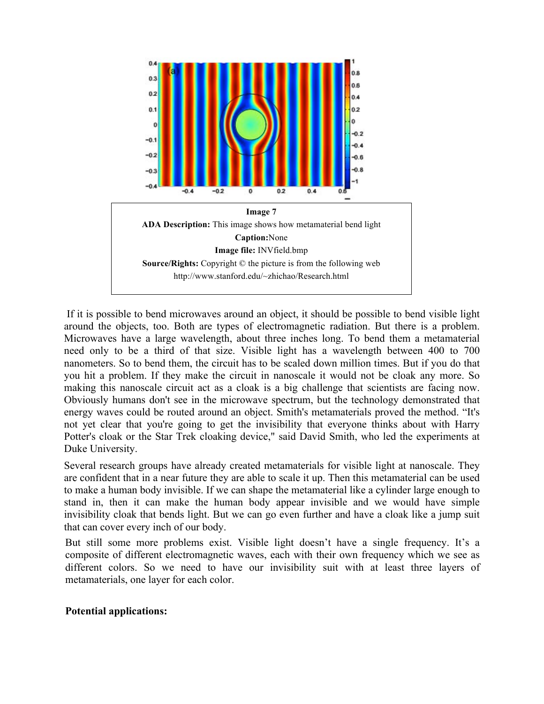

 If it is possible to bend microwaves around an object, it should be possible to bend visible light around the objects, too. Both are types of electromagnetic radiation. But there is a problem. Microwaves have a large wavelength, about three inches long. To bend them a metamaterial need only to be a third of that size. Visible light has a wavelength between 400 to 700 nanometers. So to bend them, the circuit has to be scaled down million times. But if you do that you hit a problem. If they make the circuit in nanoscale it would not be cloak any more. So making this nanoscale circuit act as a cloak is a big challenge that scientists are facing now. Obviously humans don't see in the microwave spectrum, but the technology demonstrated that energy waves could be routed around an object. Smith's metamaterials proved the method. "It's not yet clear that you're going to get the invisibility that everyone thinks about with Harry Potter's cloak or the Star Trek cloaking device," said David Smith, who led the experiments at Duke University.

Several research groups have already created metamaterials for visible light at nanoscale. They are confident that in a near future they are able to scale it up. Then this metamaterial can be used to make a human body invisible. If we can shape the metamaterial like a cylinder large enough to stand in, then it can make the human body appear invisible and we would have simple invisibility cloak that bends light. But we can go even further and have a cloak like a jump suit that can cover every inch of our body.

But still some more problems exist. Visible light doesn't have a single frequency. It's a composite of different electromagnetic waves, each with their own frequency which we see as different colors. So we need to have our invisibility suit with at least three layers of metamaterials, one layer for each color.

#### **Potential applications:**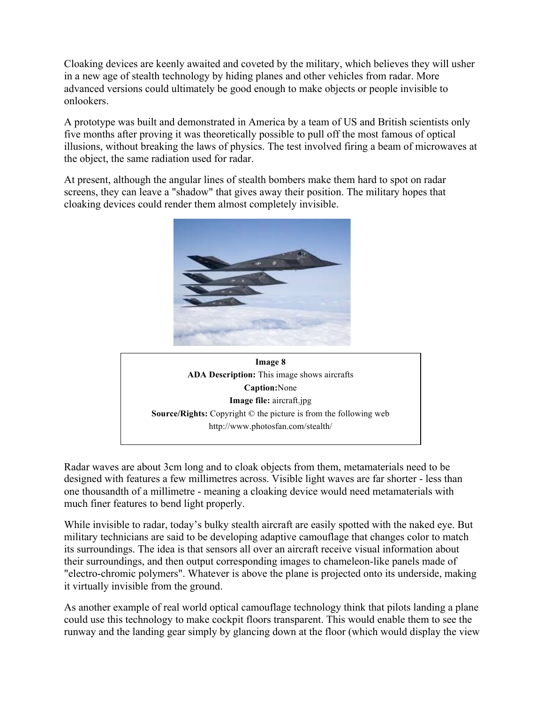Cloaking devices are keenly awaited and coveted by the military, which believes they will usher in a new age of stealth technology by hiding planes and other vehicles from radar. More advanced versions could ultimately be good enough to make objects or people invisible to onlookers.

A prototype was built and demonstrated in America by a team of US and British scientists only five months after proving it was theoretically possible to pull off the most famous of optical illusions, without breaking the laws of physics. The test involved firing a beam of microwaves at the object, the same radiation used for radar.

At present, although the angular lines of stealth bombers make them hard to spot on radar screens, they can leave a "shadow" that gives away their position. The military hopes that cloaking devices could render them almost completely invisible.





Radar waves are about 3cm long and to cloak objects from them, metamaterials need to be designed with features a few millimetres across. Visible light waves are far shorter - less than one thousandth of a millimetre - meaning a cloaking device would need metamaterials with much finer features to bend light properly.

While invisible to radar, today's bulky stealth aircraft are easily spotted with the naked eye. But military technicians are said to be developing adaptive camouflage that changes color to match its surroundings. The idea is that sensors all over an aircraft receive visual information about their surroundings, and then output corresponding images to chameleon-like panels made of "electro-chromic polymers". Whatever is above the plane is projected onto its underside, making it virtually invisible from the ground.

As another example of real world optical camouflage technology think that pilots landing a plane could use this technology to make cockpit floors transparent. This would enable them to see the runway and the landing gear simply by glancing down at the floor (which would display the view